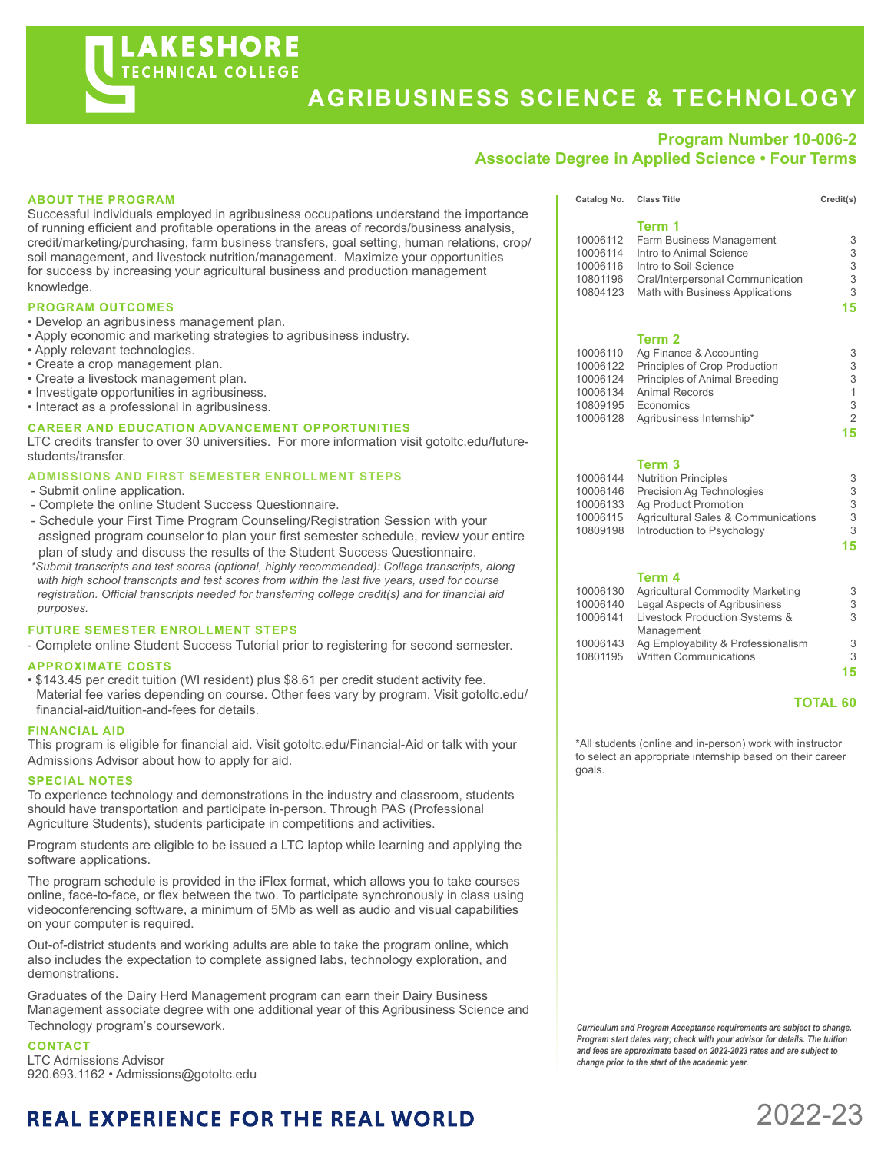# **AGRIBUSINESS SCIENCE & TECHNOLOGY**

## **Program Number 10-006-2**

### **Associate Degree in Applied Science • Four Terms**

### **ABOUT THE PROGRAM**

Successful individuals employed in agribusiness occupations understand the importance of running efficient and profitable operations in the areas of records/business analysis, credit/marketing/purchasing, farm business transfers, goal setting, human relations, crop/ soil management, and livestock nutrition/management. Maximize your opportunities for success by increasing your agricultural business and production management knowledge.

#### **PROGRAM OUTCOMES**

- Develop an agribusiness management plan.
- Apply economic and marketing strategies to agribusiness industry.
- Apply relevant technologies.
- Create a crop management plan.
- Create a livestock management plan.
- Investigate opportunities in agribusiness.
- Interact as a professional in agribusiness.

#### **CAREER AND EDUCATION ADVANCEMENT OPPORTUNITIES**

LTC credits transfer to over 30 universities. For more information visit gotoltc.edu/futurestudents/transfer.

#### **ADMISSIONS AND FIRST SEMESTER ENROLLMENT STEPS**

- Submit online application.
- Complete the online Student Success Questionnaire.
- Schedule your First Time Program Counseling/Registration Session with your assigned program counselor to plan your first semester schedule, review your entire plan of study and discuss the results of the Student Success Questionnaire.
- *\*Submit transcripts and test scores (optional, highly recommended): College transcripts, along with high school transcripts and test scores from within the last five years, used for course registration. Official transcripts needed for transferring college credit(s) and for financial aid purposes.*

#### **FUTURE SEMESTER ENROLLMENT STEPS**

- Complete online Student Success Tutorial prior to registering for second semester.

#### **APPROXIMATE COSTS**

• \$143.45 per credit tuition (WI resident) plus \$8.61 per credit student activity fee. Material fee varies depending on course. Other fees vary by program. Visit gotoltc.edu/ financial-aid/tuition-and-fees for details.

#### **FINANCIAL AID**

This program is eligible for financial aid. Visit gotoltc.edu/Financial-Aid or talk with your Admissions Advisor about how to apply for aid.

#### **SPECIAL NOTES**

To experience technology and demonstrations in the industry and classroom, students should have transportation and participate in-person. Through PAS (Professional Agriculture Students), students participate in competitions and activities.

Program students are eligible to be issued a LTC laptop while learning and applying the software applications.

The program schedule is provided in the iFlex format, which allows you to take courses online, face-to-face, or flex between the two. To participate synchronously in class using videoconferencing software, a minimum of 5Mb as well as audio and visual capabilities on your computer is required.

Out-of-district students and working adults are able to take the program online, which also includes the expectation to complete assigned labs, technology exploration, and demonstrations.

Graduates of the Dairy Herd Management program can earn their Dairy Business Management associate degree with one additional year of this Agribusiness Science and Technology program's coursework.

**CONTACT** LTC Admissions Advisor 920.693.1162 • Admissions@gotoltc.edu

## **REAL EXPERIENCE FOR THE REAL WORLD**

|          | Term 1                           |    |
|----------|----------------------------------|----|
| 10006112 | Farm Business Management         | 3  |
| 10006114 | Intro to Animal Science          | 3  |
| 10006116 | Intro to Soil Science            | 3  |
| 10801196 | Oral/Interpersonal Communication | 3  |
| 10804123 | Math with Business Applications  | 3  |
|          |                                  | 15 |
|          | Term 2                           |    |

**Catalog No. Class Title Credit(s)**

|  | 10006110 Ag Finance & Accounting       | 3  |
|--|----------------------------------------|----|
|  | 10006122 Principles of Crop Production | 3  |
|  | 10006124 Principles of Animal Breeding | 3  |
|  | 10006134 Animal Records                | 1  |
|  | 10809195 Economics                     | 3  |
|  | 10006128 Agribusiness Internship*      | 2  |
|  |                                        | 15 |
|  |                                        |    |

#### **Term 3**

| 10006144 Nutrition Principles                | 3  |
|----------------------------------------------|----|
| 10006146 Precision Ag Technologies           | 3  |
| 10006133 Ag Product Promotion                | 3  |
| 10006115 Agricultural Sales & Communications | 3  |
| 10809198 Introduction to Psychology          | З  |
|                                              | 15 |

#### **Term 4**

| <b>Agricultural Commodity Marketing</b> | 3  |
|-----------------------------------------|----|
| Legal Aspects of Agribusiness           | 3  |
| Livestock Production Systems &          | 3  |
| Management                              |    |
| Ag Employability & Professionalism      | 3  |
| <b>Written Communications</b>           | 3  |
|                                         | 15 |
|                                         |    |

#### **TOTAL 60**

\*All students (online and in-person) work with instructor to select an appropriate internship based on their career goals.

*Curriculum and Program Acceptance requirements are subject to change. Program start dates vary; check with your advisor for details. The tuition and fees are approximate based on 2022-2023 rates and are subject to change prior to the start of the academic year.* 

# 2022-23